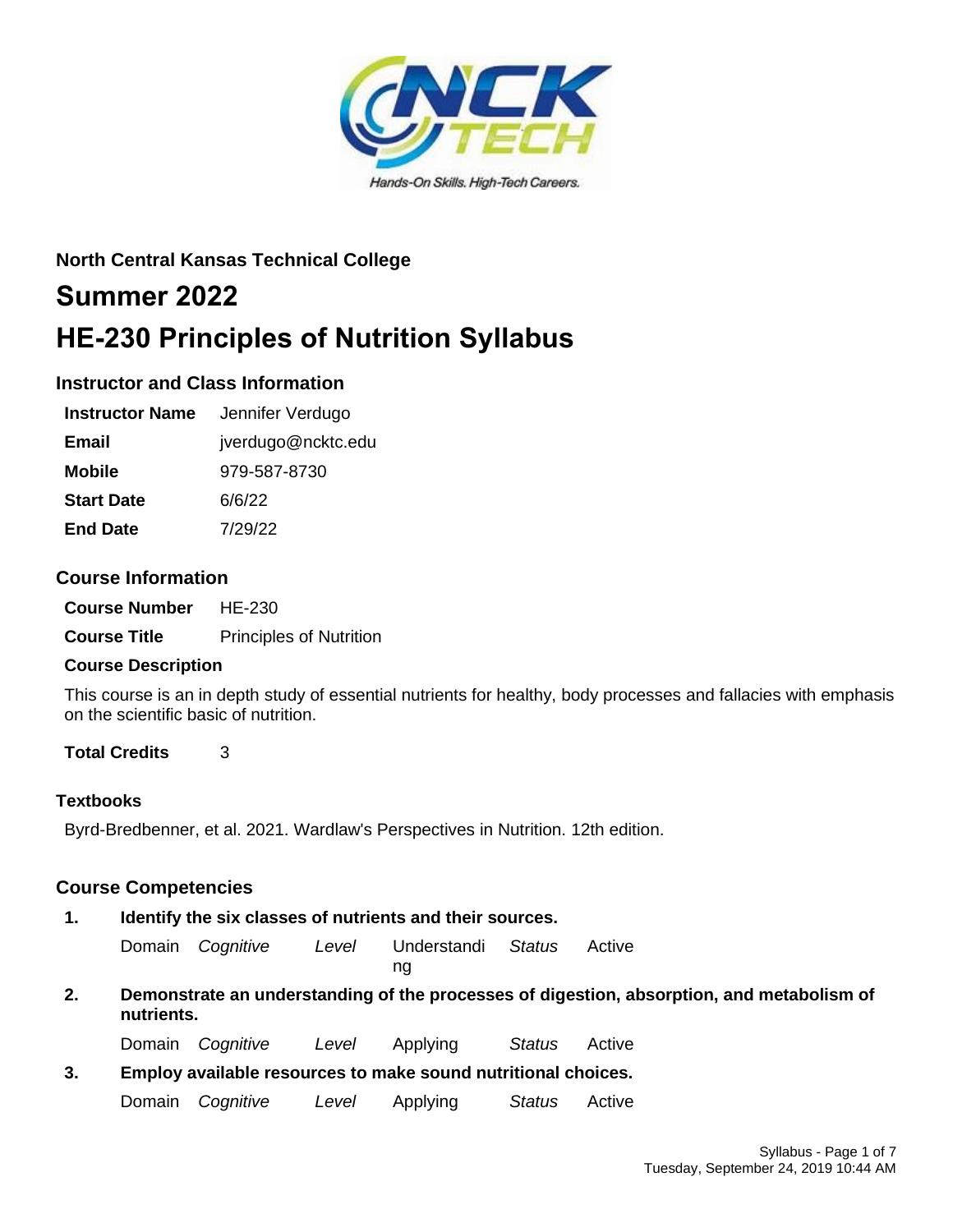

# **North Central Kansas Technical College**

# **Summer 2022 HE-230 Principles of Nutrition Syllabus**

# **Instructor and Class Information**

| <b>Instructor Name</b> | Jennifer Verdugo   |
|------------------------|--------------------|
| Email                  | jverdugo@ncktc.edu |
| <b>Mobile</b>          | 979-587-8730       |
| <b>Start Date</b>      | 6/6/22             |
| <b>End Date</b>        | 7/29/22            |

# **Course Information**

**Course Number** HE-230

**Course Title** Principles of Nutrition

## **Course Description**

This course is an in depth study of essential nutrients for healthy, body processes and fallacies with emphasis on the scientific basic of nutrition.

# **Total Credits** 3

## **Textbooks**

Byrd-Bredbenner, et al. 2021. Wardlaw's Perspectives in Nutrition. 12th edition.

# **Course Competencies**

## **1. Identify the six classes of nutrients and their sources.**

Domain *Cognitive Level* Understandi *Status* Active

ng

**2. Demonstrate an understanding of the processes of digestion, absorption, and metabolism of nutrients.**

Domain *Cognitive Level* Applying *Status* Active

**3. Employ available resources to make sound nutritional choices.**

Domain *Cognitive Level* Applying *Status* Active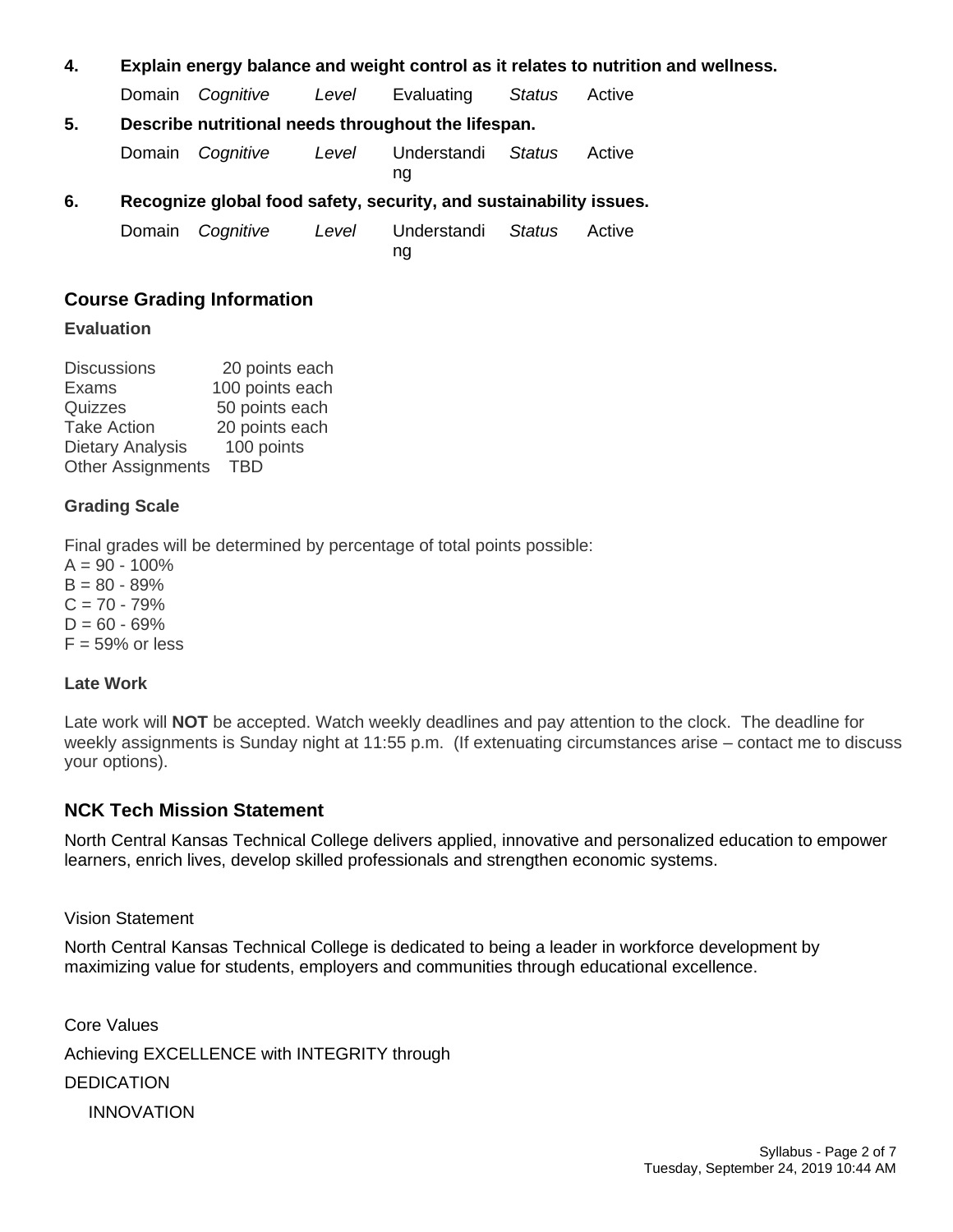#### **4. Explain energy balance and weight control as it relates to nutrition and wellness.**

Domain *Cognitive Level* Evaluating *Status* Active

## **5. Describe nutritional needs throughout the lifespan.**

Domain *Cognitive Level* Understandi *Status* Active

ng

## **6. Recognize global food safety, security, and sustainability issues.**

Domain *Cognitive Level* Understandi ng *Status* Active

# **Course Grading Information**

#### **Evaluation**

Discussions 20 points each Exams 100 points each Quizzes 50 points each Take Action 20 points each Dietary Analysis 100 points Other Assignments TBD

## **Grading Scale**

Final grades will be determined by percentage of total points possible:

 $A = 90 - 100\%$  $B = 80 - 89%$  $C = 70 - 79%$  $D = 60 - 69%$  $F = 59\%$  or less

## **Late Work**

Late work will **NOT** be accepted. Watch weekly deadlines and pay attention to the clock. The deadline for weekly assignments is Sunday night at 11:55 p.m. (If extenuating circumstances arise – contact me to discuss your options).

## **NCK Tech Mission Statement**

North Central Kansas Technical College delivers applied, innovative and personalized education to empower learners, enrich lives, develop skilled professionals and strengthen economic systems.

Vision Statement

North Central Kansas Technical College is dedicated to being a leader in workforce development by maximizing value for students, employers and communities through educational excellence.

Core Values Achieving EXCELLENCE with INTEGRITY through DEDICATION INNOVATION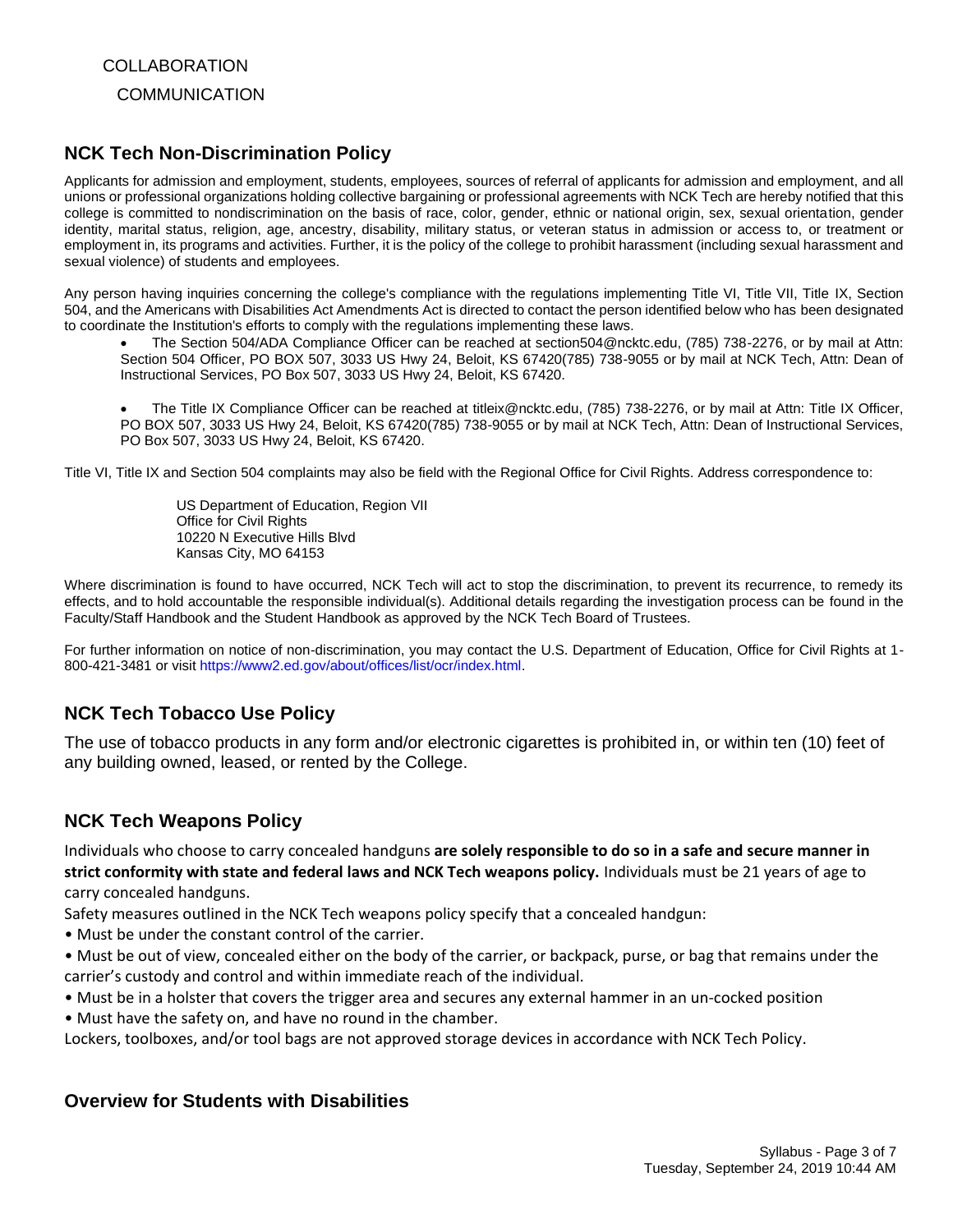**COLLABORATION COMMUNICATION** 

# **NCK Tech Non-Discrimination Policy**

Applicants for admission and employment, students, employees, sources of referral of applicants for admission and employment, and all unions or professional organizations holding collective bargaining or professional agreements with NCK Tech are hereby notified that this college is committed to nondiscrimination on the basis of race, color, gender, ethnic or national origin, sex, sexual orientation, gender identity, marital status, religion, age, ancestry, disability, military status, or veteran status in admission or access to, or treatment or employment in, its programs and activities. Further, it is the policy of the college to prohibit harassment (including sexual harassment and sexual violence) of students and employees.

Any person having inquiries concerning the college's compliance with the regulations implementing Title VI, Title VII, Title IX, Section 504, and the Americans with Disabilities Act Amendments Act is directed to contact the person identified below who has been designated to coordinate the Institution's efforts to comply with the regulations implementing these laws.

• The Section 504/ADA Compliance Officer can be reached at section504@ncktc.edu, (785) 738-2276, or by mail at Attn: Section 504 Officer, PO BOX 507, 3033 US Hwy 24, Beloit, KS 67420(785) 738-9055 or by mail at NCK Tech, Attn: Dean of Instructional Services, PO Box 507, 3033 US Hwy 24, Beloit, KS 67420.

• The Title IX Compliance Officer can be reached at titleix@ncktc.edu, (785) 738-2276, or by mail at Attn: Title IX Officer, PO BOX 507, 3033 US Hwy 24, Beloit, KS 67420(785) 738-9055 or by mail at NCK Tech, Attn: Dean of Instructional Services, PO Box 507, 3033 US Hwy 24, Beloit, KS 67420.

Title VI, Title IX and Section 504 complaints may also be field with the Regional Office for Civil Rights. Address correspondence to:

US Department of Education, Region VII Office for Civil Rights 10220 N Executive Hills Blvd Kansas City, MO 64153

Where discrimination is found to have occurred, NCK Tech will act to stop the discrimination, to prevent its recurrence, to remedy its effects, and to hold accountable the responsible individual(s). Additional details regarding the investigation process can be found in the Faculty/Staff Handbook and the Student Handbook as approved by the NCK Tech Board of Trustees.

For further information on notice of non-discrimination, you may contact the U.S. Department of Education, Office for Civil Rights at 1- 800-421-3481 or visit https://www2.ed.gov/about/offices/list/ocr/index.html.

# **NCK Tech Tobacco Use Policy**

The use of tobacco products in any form and/or electronic cigarettes is prohibited in, or within ten (10) feet of any building owned, leased, or rented by the College.

# **NCK Tech Weapons Policy**

Individuals who choose to carry concealed handguns **are solely responsible to do so in a safe and secure manner in strict conformity with state and federal laws and NCK Tech weapons policy.** Individuals must be 21 years of age to carry concealed handguns.

Safety measures outlined in the NCK Tech weapons policy specify that a concealed handgun:

- Must be under the constant control of the carrier.
- Must be out of view, concealed either on the body of the carrier, or backpack, purse, or bag that remains under the carrier's custody and control and within immediate reach of the individual.
- Must be in a holster that covers the trigger area and secures any external hammer in an un-cocked position

• Must have the safety on, and have no round in the chamber.

Lockers, toolboxes, and/or tool bags are not approved storage devices in accordance with NCK Tech Policy.

# **Overview for Students with Disabilities**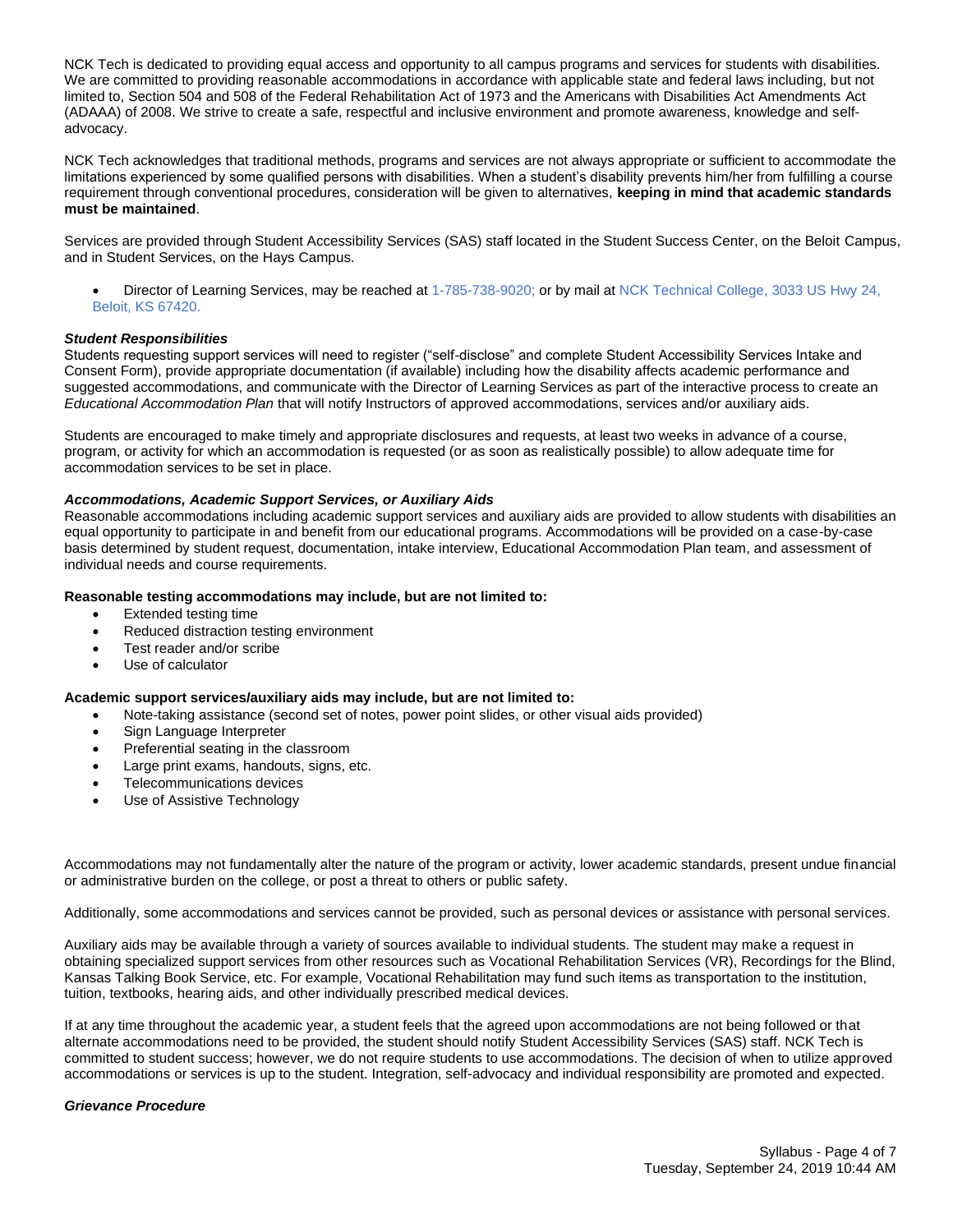NCK Tech is dedicated to providing equal access and opportunity to all campus programs and services for students with disabilities. We are committed to providing reasonable accommodations in accordance with applicable state and federal laws including, but not limited to, Section 504 and 508 of the Federal Rehabilitation Act of 1973 and the Americans with Disabilities Act Amendments Act (ADAAA) of 2008. We strive to create a safe, respectful and inclusive environment and promote awareness, knowledge and selfadvocacy.

NCK Tech acknowledges that traditional methods, programs and services are not always appropriate or sufficient to accommodate the limitations experienced by some qualified persons with disabilities. When a student's disability prevents him/her from fulfilling a course requirement through conventional procedures, consideration will be given to alternatives, **keeping in mind that academic standards must be maintained**.

Services are provided through Student Accessibility Services (SAS) staff located in the Student Success Center, on the Beloit Campus, and in Student Services, on the Hays Campus.

• Director of Learning Services, may be reached at 1-785-738-9020; or by mail at NCK Technical College, 3033 US Hwy 24, Beloit, KS 67420.

#### *Student Responsibilities*

Students requesting support services will need to register ("self-disclose" and complete Student Accessibility Services Intake and Consent Form), provide appropriate documentation (if available) including how the disability affects academic performance and suggested accommodations, and communicate with the Director of Learning Services as part of the interactive process to create an *Educational Accommodation Plan* that will notify Instructors of approved accommodations, services and/or auxiliary aids.

Students are encouraged to make timely and appropriate disclosures and requests, at least two weeks in advance of a course, program, or activity for which an accommodation is requested (or as soon as realistically possible) to allow adequate time for accommodation services to be set in place.

#### *Accommodations, Academic Support Services, or Auxiliary Aids*

Reasonable accommodations including academic support services and auxiliary aids are provided to allow students with disabilities an equal opportunity to participate in and benefit from our educational programs. Accommodations will be provided on a case-by-case basis determined by student request, documentation, intake interview, Educational Accommodation Plan team, and assessment of individual needs and course requirements.

#### **Reasonable testing accommodations may include, but are not limited to:**

- Extended testing time
- Reduced distraction testing environment
- Test reader and/or scribe
- Use of calculator

#### **Academic support services/auxiliary aids may include, but are not limited to:**

- Note-taking assistance (second set of notes, power point slides, or other visual aids provided)
- Sign Language Interpreter
- Preferential seating in the classroom
- Large print exams, handouts, signs, etc.
- Telecommunications devices
- Use of Assistive Technology

Accommodations may not fundamentally alter the nature of the program or activity, lower academic standards, present undue financial or administrative burden on the college, or post a threat to others or public safety.

Additionally, some accommodations and services cannot be provided, such as personal devices or assistance with personal services.

Auxiliary aids may be available through a variety of sources available to individual students. The student may make a request in obtaining specialized support services from other resources such as Vocational Rehabilitation Services (VR), Recordings for the Blind, Kansas Talking Book Service, etc. For example, Vocational Rehabilitation may fund such items as transportation to the institution, tuition, textbooks, hearing aids, and other individually prescribed medical devices.

If at any time throughout the academic year, a student feels that the agreed upon accommodations are not being followed or that alternate accommodations need to be provided, the student should notify Student Accessibility Services (SAS) staff. NCK Tech is committed to student success; however, we do not require students to use accommodations. The decision of when to utilize approved accommodations or services is up to the student. Integration, self-advocacy and individual responsibility are promoted and expected.

#### *Grievance Procedure*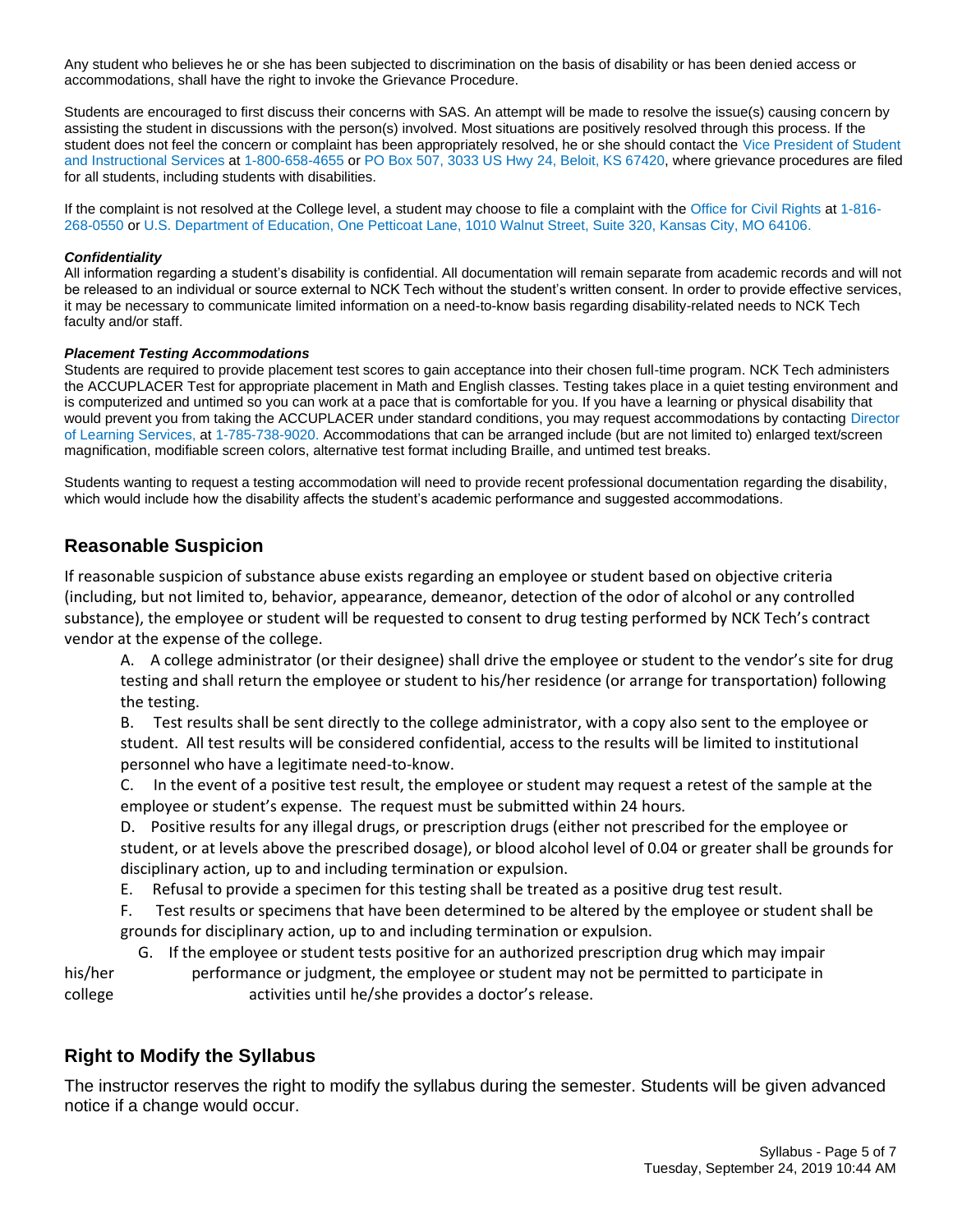Any student who believes he or she has been subjected to discrimination on the basis of disability or has been denied access or accommodations, shall have the right to invoke the Grievance Procedure.

Students are encouraged to first discuss their concerns with SAS. An attempt will be made to resolve the issue(s) causing concern by assisting the student in discussions with the person(s) involved. Most situations are positively resolved through this process. If the student does not feel the concern or complaint has been appropriately resolved, he or she should contact the Vice President of Student and Instructional Services at 1-800-658-4655 or PO Box 507, 3033 US Hwy 24, Beloit, KS 67420, where grievance procedures are filed for all students, including students with disabilities.

If the complaint is not resolved at the College level, a student may choose to file a complaint with the Office for Civil Rights at 1-816- 268-0550 or U.S. Department of Education, One Petticoat Lane, 1010 Walnut Street, Suite 320, Kansas City, MO 64106.

#### *Confidentiality*

All information regarding a student's disability is confidential. All documentation will remain separate from academic records and will not be released to an individual or source external to NCK Tech without the student's written consent. In order to provide effective services, it may be necessary to communicate limited information on a need-to-know basis regarding disability-related needs to NCK Tech faculty and/or staff.

#### *Placement Testing Accommodations*

Students are required to provide placement test scores to gain acceptance into their chosen full-time program. NCK Tech administers the ACCUPLACER Test for appropriate placement in Math and English classes. Testing takes place in a quiet testing environment and is computerized and untimed so you can work at a pace that is comfortable for you. If you have a learning or physical disability that would prevent you from taking the ACCUPLACER under standard conditions, you may request accommodations by contacting Director of Learning Services, at 1-785-738-9020. Accommodations that can be arranged include (but are not limited to) enlarged text/screen magnification, modifiable screen colors, alternative test format including Braille, and untimed test breaks.

Students wanting to request a testing accommodation will need to provide recent professional documentation regarding the disability, which would include how the disability affects the student's academic performance and suggested accommodations.

## **Reasonable Suspicion**

If reasonable suspicion of substance abuse exists regarding an employee or student based on objective criteria (including, but not limited to, behavior, appearance, demeanor, detection of the odor of alcohol or any controlled substance), the employee or student will be requested to consent to drug testing performed by NCK Tech's contract vendor at the expense of the college.

A. A college administrator (or their designee) shall drive the employee or student to the vendor's site for drug testing and shall return the employee or student to his/her residence (or arrange for transportation) following the testing.

B. Test results shall be sent directly to the college administrator, with a copy also sent to the employee or student. All test results will be considered confidential, access to the results will be limited to institutional personnel who have a legitimate need-to-know.

C. In the event of a positive test result, the employee or student may request a retest of the sample at the employee or student's expense. The request must be submitted within 24 hours.

D. Positive results for any illegal drugs, or prescription drugs (either not prescribed for the employee or student, or at levels above the prescribed dosage), or blood alcohol level of 0.04 or greater shall be grounds for disciplinary action, up to and including termination or expulsion.

E. Refusal to provide a specimen for this testing shall be treated as a positive drug test result.

F. Test results or specimens that have been determined to be altered by the employee or student shall be grounds for disciplinary action, up to and including termination or expulsion.

G. If the employee or student tests positive for an authorized prescription drug which may impair

his/her performance or judgment, the employee or student may not be permitted to participate in college activities until he/she provides a doctor's release.

## **Right to Modify the Syllabus**

The instructor reserves the right to modify the syllabus during the semester. Students will be given advanced notice if a change would occur.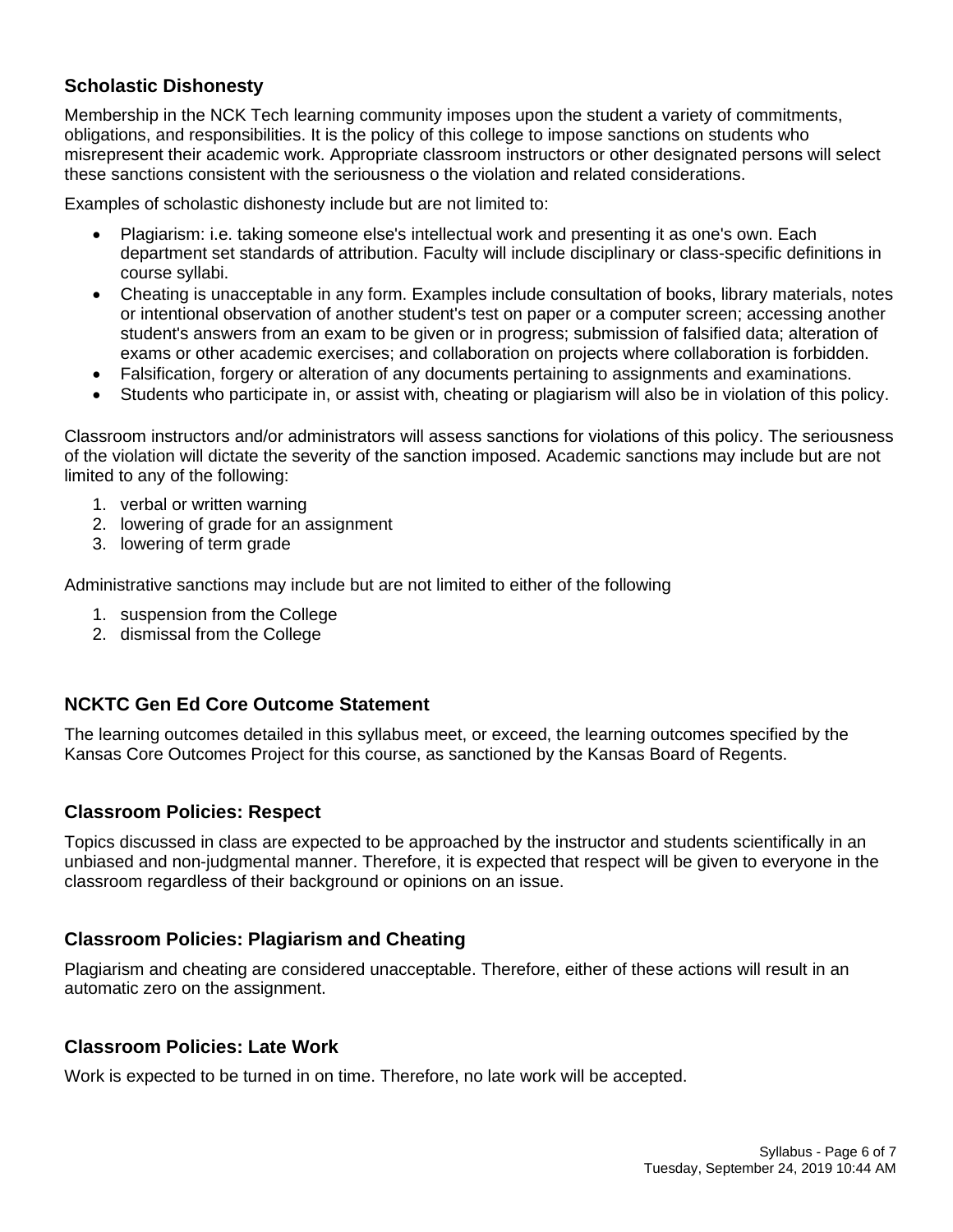# **Scholastic Dishonesty**

Membership in the NCK Tech learning community imposes upon the student a variety of commitments, obligations, and responsibilities. It is the policy of this college to impose sanctions on students who misrepresent their academic work. Appropriate classroom instructors or other designated persons will select these sanctions consistent with the seriousness o the violation and related considerations.

Examples of scholastic dishonesty include but are not limited to:

- Plagiarism: i.e. taking someone else's intellectual work and presenting it as one's own. Each department set standards of attribution. Faculty will include disciplinary or class-specific definitions in course syllabi.
- Cheating is unacceptable in any form. Examples include consultation of books, library materials, notes or intentional observation of another student's test on paper or a computer screen; accessing another student's answers from an exam to be given or in progress; submission of falsified data; alteration of exams or other academic exercises; and collaboration on projects where collaboration is forbidden.
- Falsification, forgery or alteration of any documents pertaining to assignments and examinations.
- Students who participate in, or assist with, cheating or plagiarism will also be in violation of this policy.

Classroom instructors and/or administrators will assess sanctions for violations of this policy. The seriousness of the violation will dictate the severity of the sanction imposed. Academic sanctions may include but are not limited to any of the following:

- 1. verbal or written warning
- 2. lowering of grade for an assignment
- 3. lowering of term grade

Administrative sanctions may include but are not limited to either of the following

- 1. suspension from the College
- 2. dismissal from the College

# **NCKTC Gen Ed Core Outcome Statement**

The learning outcomes detailed in this syllabus meet, or exceed, the learning outcomes specified by the Kansas Core Outcomes Project for this course, as sanctioned by the Kansas Board of Regents.

# **Classroom Policies: Respect**

Topics discussed in class are expected to be approached by the instructor and students scientifically in an unbiased and non-judgmental manner. Therefore, it is expected that respect will be given to everyone in the classroom regardless of their background or opinions on an issue.

# **Classroom Policies: Plagiarism and Cheating**

Plagiarism and cheating are considered unacceptable. Therefore, either of these actions will result in an automatic zero on the assignment.

## **Classroom Policies: Late Work**

Work is expected to be turned in on time. Therefore, no late work will be accepted.